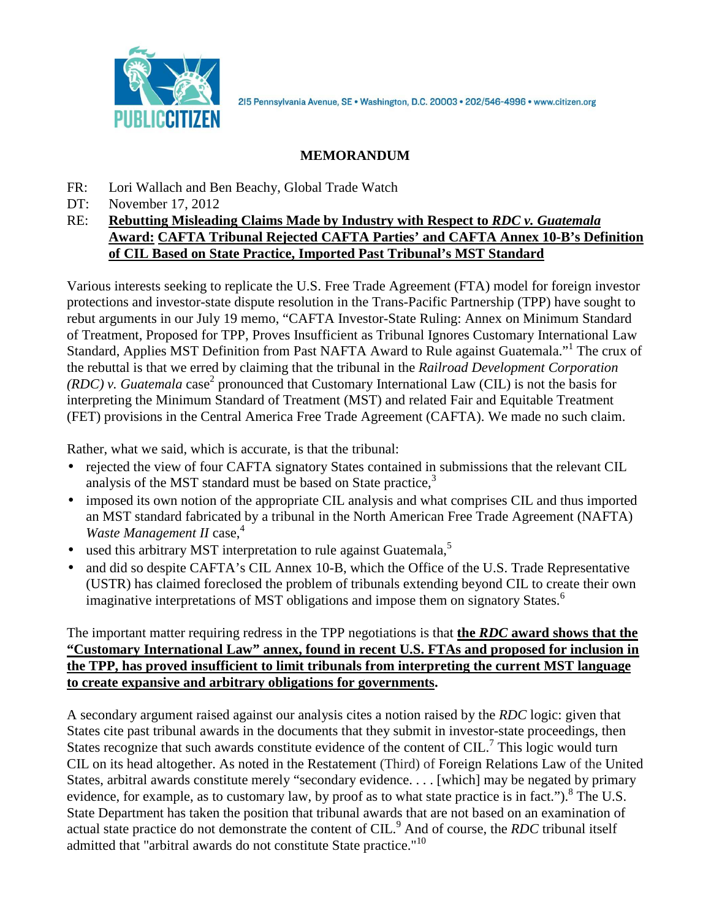

2I5 Pennsylvania Avenue, SE · Washington, D.C. 20003 · 202/546-4996 · www.citizen.org

## **MEMORANDUM**

- FR: Lori Wallach and Ben Beachy, Global Trade Watch
- DT: November 17, 2012
- RE: **Rebutting Misleading Claims Made by Industry with Respect to** *RDC v. Guatemala* **Award: CAFTA Tribunal Rejected CAFTA Parties' and CAFTA Annex 10-B's Definition of CIL Based on State Practice, Imported Past Tribunal's MST Standard**

Various interests seeking to replicate the U.S. Free Trade Agreement (FTA) model for foreign investor protections and investor-state dispute resolution in the Trans-Pacific Partnership (TPP) have sought to rebut arguments in our July 19 memo, "CAFTA Investor-State Ruling: Annex on Minimum Standard of Treatment, Proposed for TPP, Proves Insufficient as Tribunal Ignores Customary International Law Standard, Applies MST Definition from Past NAFTA Award to Rule against Guatemala."<sup>1</sup> The crux of the rebuttal is that we erred by claiming that the tribunal in the *Railroad Development Corporation (RDC)* v. *Guatemala* case<sup>2</sup> pronounced that Customary International Law *(CIL)* is not the basis for interpreting the Minimum Standard of Treatment (MST) and related Fair and Equitable Treatment (FET) provisions in the Central America Free Trade Agreement (CAFTA). We made no such claim.

Rather, what we said, which is accurate, is that the tribunal:

- rejected the view of four CAFTA signatory States contained in submissions that the relevant CIL analysis of the MST standard must be based on State practice, $3$
- imposed its own notion of the appropriate CIL analysis and what comprises CIL and thus imported an MST standard fabricated by a tribunal in the North American Free Trade Agreement (NAFTA) *Waste Management II* case, 4
- used this arbitrary MST interpretation to rule against Guatemala, $\frac{5}{5}$
- and did so despite CAFTA's CIL Annex 10-B, which the Office of the U.S. Trade Representative (USTR) has claimed foreclosed the problem of tribunals extending beyond CIL to create their own imaginative interpretations of MST obligations and impose them on signatory States.<sup>6</sup>

## The important matter requiring redress in the TPP negotiations is that **the** *RDC* **award shows that the "Customary International Law" annex, found in recent U.S. FTAs and proposed for inclusion in the TPP, has proved insufficient to limit tribunals from interpreting the current MST language to create expansive and arbitrary obligations for governments.**

A secondary argument raised against our analysis cites a notion raised by the *RDC* logic: given that States cite past tribunal awards in the documents that they submit in investor-state proceedings, then States recognize that such awards constitute evidence of the content of CIL.<sup>7</sup> This logic would turn CIL on its head altogether. As noted in the Restatement (Third) of Foreign Relations Law of the United States, arbitral awards constitute merely "secondary evidence. . . . [which] may be negated by primary evidence, for example, as to customary law, by proof as to what state practice is in fact.").<sup>8</sup> The U.S. State Department has taken the position that tribunal awards that are not based on an examination of actual state practice do not demonstrate the content of CIL.<sup>9</sup> And of course, the *RDC* tribunal itself admitted that "arbitral awards do not constitute State practice."<sup>10</sup>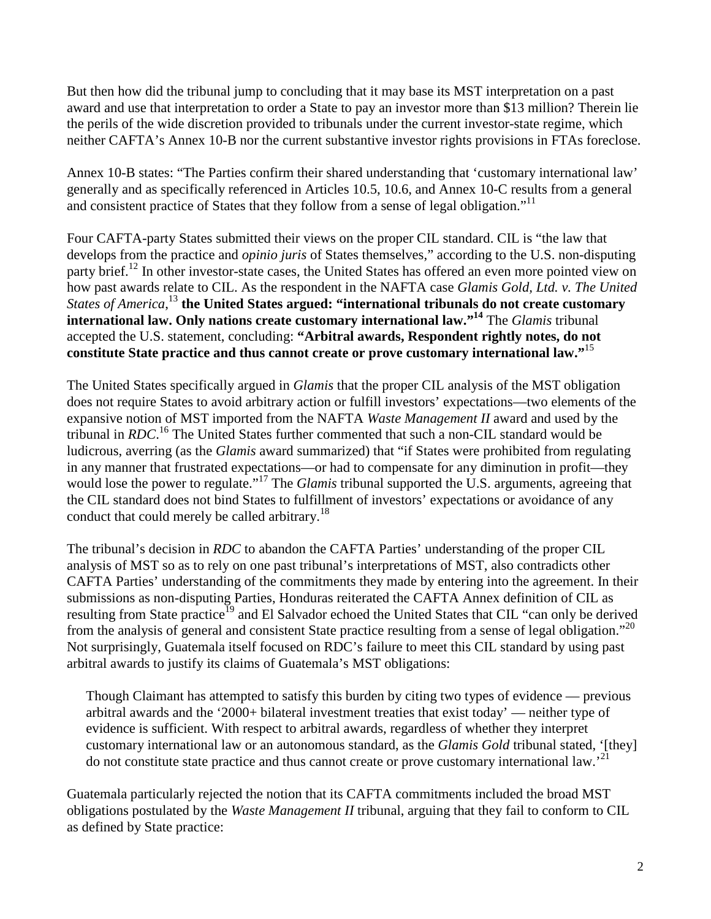But then how did the tribunal jump to concluding that it may base its MST interpretation on a past award and use that interpretation to order a State to pay an investor more than \$13 million? Therein lie the perils of the wide discretion provided to tribunals under the current investor-state regime, which neither CAFTA's Annex 10-B nor the current substantive investor rights provisions in FTAs foreclose.

Annex 10-B states: "The Parties confirm their shared understanding that 'customary international law' generally and as specifically referenced in Articles 10.5, 10.6, and Annex 10-C results from a general and consistent practice of States that they follow from a sense of legal obligation."<sup>11</sup>

Four CAFTA-party States submitted their views on the proper CIL standard. CIL is "the law that develops from the practice and *opinio juris* of States themselves," according to the U.S. non-disputing party brief.<sup>12</sup> In other investor-state cases, the United States has offered an even more pointed view on how past awards relate to CIL. As the respondent in the NAFTA case *Glamis Gold, Ltd. v. The United States of America*, <sup>13</sup> **the United States argued: "international tribunals do not create customary international law. Only nations create customary international law."<sup>14</sup>** The *Glamis* tribunal accepted the U.S. statement, concluding: **"Arbitral awards, Respondent rightly notes, do not constitute State practice and thus cannot create or prove customary international law."**<sup>15</sup>

The United States specifically argued in *Glamis* that the proper CIL analysis of the MST obligation does not require States to avoid arbitrary action or fulfill investors' expectations—two elements of the expansive notion of MST imported from the NAFTA *Waste Management II* award and used by the tribunal in *RDC*. <sup>16</sup> The United States further commented that such a non-CIL standard would be ludicrous, averring (as the *Glamis* award summarized) that "if States were prohibited from regulating in any manner that frustrated expectations—or had to compensate for any diminution in profit—they would lose the power to regulate."<sup>17</sup> The *Glamis* tribunal supported the U.S. arguments, agreeing that the CIL standard does not bind States to fulfillment of investors' expectations or avoidance of any conduct that could merely be called arbitrary.<sup>18</sup>

The tribunal's decision in *RDC* to abandon the CAFTA Parties' understanding of the proper CIL analysis of MST so as to rely on one past tribunal's interpretations of MST, also contradicts other CAFTA Parties' understanding of the commitments they made by entering into the agreement. In their submissions as non-disputing Parties, Honduras reiterated the CAFTA Annex definition of CIL as resulting from State practice<sup>19</sup> and El Salvador echoed the United States that CIL "can only be derived from the analysis of general and consistent State practice resulting from a sense of legal obligation."<sup>20</sup> Not surprisingly, Guatemala itself focused on RDC's failure to meet this CIL standard by using past arbitral awards to justify its claims of Guatemala's MST obligations:

Though Claimant has attempted to satisfy this burden by citing two types of evidence — previous arbitral awards and the '2000+ bilateral investment treaties that exist today' — neither type of evidence is sufficient. With respect to arbitral awards, regardless of whether they interpret customary international law or an autonomous standard, as the *Glamis Gold* tribunal stated, '[they] do not constitute state practice and thus cannot create or prove customary international  $law.^{21}$ .

Guatemala particularly rejected the notion that its CAFTA commitments included the broad MST obligations postulated by the *Waste Management II* tribunal, arguing that they fail to conform to CIL as defined by State practice: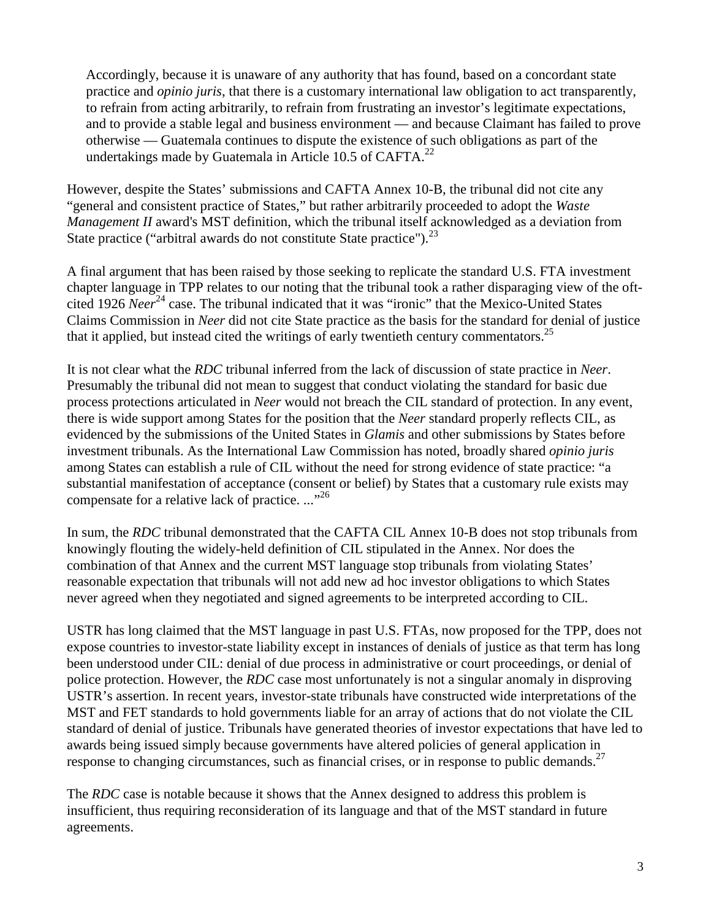Accordingly, because it is unaware of any authority that has found, based on a concordant state practice and *opinio juris*, that there is a customary international law obligation to act transparently, to refrain from acting arbitrarily, to refrain from frustrating an investor's legitimate expectations, and to provide a stable legal and business environment — and because Claimant has failed to prove otherwise — Guatemala continues to dispute the existence of such obligations as part of the undertakings made by Guatemala in Article 10.5 of CAFTA. $^{22}$ 

However, despite the States' submissions and CAFTA Annex 10-B, the tribunal did not cite any "general and consistent practice of States," but rather arbitrarily proceeded to adopt the *Waste Management II* award's MST definition, which the tribunal itself acknowledged as a deviation from State practice ("arbitral awards do not constitute State practice"). $^{23}$ 

A final argument that has been raised by those seeking to replicate the standard U.S. FTA investment chapter language in TPP relates to our noting that the tribunal took a rather disparaging view of the oftcited 1926 *Neer*<sup>24</sup> case. The tribunal indicated that it was "ironic" that the Mexico-United States Claims Commission in *Neer* did not cite State practice as the basis for the standard for denial of justice that it applied, but instead cited the writings of early twentieth century commentators.<sup>25</sup>

It is not clear what the *RDC* tribunal inferred from the lack of discussion of state practice in *Neer*. Presumably the tribunal did not mean to suggest that conduct violating the standard for basic due process protections articulated in *Neer* would not breach the CIL standard of protection. In any event, there is wide support among States for the position that the *Neer* standard properly reflects CIL, as evidenced by the submissions of the United States in *Glamis* and other submissions by States before investment tribunals. As the International Law Commission has noted, broadly shared *opinio juris* among States can establish a rule of CIL without the need for strong evidence of state practice: "a substantial manifestation of acceptance (consent or belief) by States that a customary rule exists may compensate for a relative lack of practice. ..."<sup>26</sup>

In sum, the *RDC* tribunal demonstrated that the CAFTA CIL Annex 10-B does not stop tribunals from knowingly flouting the widely-held definition of CIL stipulated in the Annex. Nor does the combination of that Annex and the current MST language stop tribunals from violating States' reasonable expectation that tribunals will not add new ad hoc investor obligations to which States never agreed when they negotiated and signed agreements to be interpreted according to CIL.

USTR has long claimed that the MST language in past U.S. FTAs, now proposed for the TPP, does not expose countries to investor-state liability except in instances of denials of justice as that term has long been understood under CIL: denial of due process in administrative or court proceedings, or denial of police protection. However, the *RDC* case most unfortunately is not a singular anomaly in disproving USTR's assertion. In recent years, investor-state tribunals have constructed wide interpretations of the MST and FET standards to hold governments liable for an array of actions that do not violate the CIL standard of denial of justice. Tribunals have generated theories of investor expectations that have led to awards being issued simply because governments have altered policies of general application in response to changing circumstances, such as financial crises, or in response to public demands.<sup>27</sup>

The *RDC* case is notable because it shows that the Annex designed to address this problem is insufficient, thus requiring reconsideration of its language and that of the MST standard in future agreements.